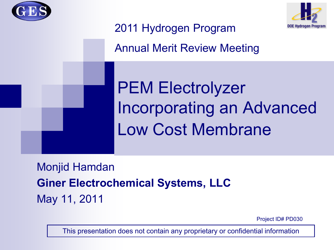



## 2011 Hydrogen Program

Annual Merit Review Meeting

PEM Electrolyzer Incorporating an Advanced Low Cost Membrane

Monjid Hamdan **Giner Electrochemical Systems, LLC** May 11, 2011

Project ID# PD030

This presentation does not contain any proprietary or confidential information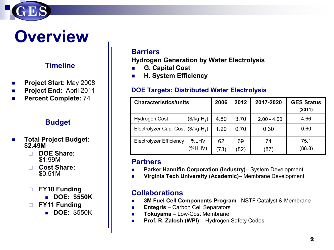

## **Overview**

### **Timeline**

- **Project Start:** May 2008
- **Project End:** April 2011
- **Percent Complete:** 74

### **Budget**

- **Total Project Budget: \$2.49M**
	- **DOE Share:**  \$1.99M
	- **Cost Share:**  \$0.51M
	- **FY10 Funding**
		- **DOE: \$550K**
	- **FY11 Funding**
		- **DOE:** \$550K

#### **Barriers**

**Hydrogen Generation by Water Electrolysis**

- **G. Capital Cost**
- **H. System Efficiency**

#### **DOE Targets: Distributed Water Electrolysis**

| <b>Characteristics/units</b>                   |                | 2006                | 2012       | 2017-2020     | <b>GES Status</b><br>(2011) |
|------------------------------------------------|----------------|---------------------|------------|---------------|-----------------------------|
| <b>Hydrogen Cost</b>                           | $($/kg-H_2)$   | 4.80                | 3.70       | $2.00 - 4.00$ | 4.66                        |
| Electrolyzer Cap. Cost (\$/kg-H <sub>2</sub> ) |                | 1.20                | 0.70       | 0.30          | 0.60                        |
| <b>Electrolyzer Efficiency</b>                 | %LHV<br>(%HHV) | 62<br>$.73^{\circ}$ | 69<br>(82) | 74<br>(87)    | 75.1<br>(88.8)              |

#### **Partners**

- **Parker Hannifin Corporation (Industry)** System Development
- **Virginia Tech University (Academic)** Membrane Development

### **Collaborations**

- 3M Fuel Cell Components Program– NSTF Catalyst & Membrane
- **Entegris** Carbon Cell Separators
- **Tokuyama** Low-Cost Membrane
- **Prof. R. Zalosh (WPI)** Hydrogen Safety Codes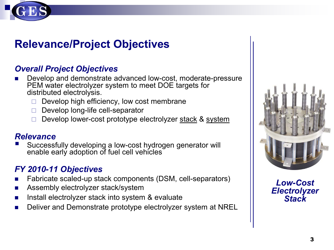### **Relevance/Project Objectives**

### *Overall Project Objectives*

- Develop and demonstrate advanced low-cost, moderate-pressure PEM water electrolyzer system to meet DOE targets for distributed electrolysis.
	- Develop high efficiency, low cost membrane
	- $\Box$  Develop long-life cell-separator
	- Develop lower-cost prototype electrolyzer stack & system

### *Relevance*

Successfully developing a low-cost hydrogen generator will enable early adoption of fuel cell vehicles

### *FY 2010-11 Objectives*

- Fabricate scaled-up stack components (DSM, cell-separators)
- Assembly electrolyzer stack/system
- **Install electrolyzer stack into system & evaluate**
- Deliver and Demonstrate prototype electrolyzer system at NREL



*Low-Cost Electrolyzer Stack*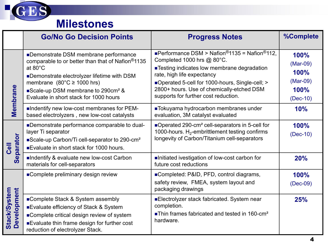

### **Milestones**

|                                    | <b>Go/No Go Decision Points</b>                                                                                                                                                                                                                                                        | <b>Progress Notes</b>                                                                                                                                                                                                                                                                                                              | <b>%Complete</b>                                               |
|------------------------------------|----------------------------------------------------------------------------------------------------------------------------------------------------------------------------------------------------------------------------------------------------------------------------------------|------------------------------------------------------------------------------------------------------------------------------------------------------------------------------------------------------------------------------------------------------------------------------------------------------------------------------------|----------------------------------------------------------------|
| Membrane                           | Demonstrate DSM membrane performance<br>comparable to or better than that of Nafion®1135<br>at 80°C<br>■Demonstrate electrolyzer lifetime with DSM<br>membrane $(80^{\circ}C \ge 1000$ hrs)<br>Scale-up DSM membrane to 290cm <sup>2</sup> &<br>Evaluate in short stack for 1000 hours | <b>Performance DSM &gt; Nafion</b> <sup>®</sup> 1135 = Nafion <sup>®</sup> 112.<br>Completed 1000 hrs @ 80°C.<br>■Testing indicates low membrane degradation<br>rate, high life expectancy<br>■Operated 5-cell for 1000-hours, Single-cell; ><br>2800+ hours. Use of chemically-etched DSM<br>supports for further cost reduction. | 100%<br>$(Mar-09)$<br>100%<br>$(Mar-09)$<br>100%<br>$(Dec-10)$ |
|                                    | Indentify new low-cost membranes for PEM-<br>based electrolyzers, new low-cost catalysts                                                                                                                                                                                               | ■Tokuyama hydrocarbon membranes under<br>evaluation, 3M catalyst evaluated                                                                                                                                                                                                                                                         | 10%                                                            |
| Separator<br>Cell                  | ■Demonstrate performance comparable to dual-<br>layer Ti separator<br>Scale-up Carbon/Ti cell-separator to 290-cm <sup>2</sup><br>■ Evaluate in short stack for 1000 hours.                                                                                                            | ■Operated 290-cm <sup>2</sup> cell-separators in 5-cell for<br>1000-hours. $H_2$ -embrittlement testing confirms<br>longevity of Carbon/Titanium cell-separators                                                                                                                                                                   | 100%<br>$(Dec-10)$                                             |
|                                    | Indentify & evaluate new low-cost Carbon<br>materials for cell-separators                                                                                                                                                                                                              | Initiated ivestigation of low-cost carbon for<br>future cost reductions                                                                                                                                                                                                                                                            | 20%                                                            |
|                                    | ■Complete preliminary design review                                                                                                                                                                                                                                                    | ■Completed: P&ID, PFD, control diagrams,<br>safety review, FMEA, system layout and<br>packaging drawings                                                                                                                                                                                                                           | 100%<br>$(Dec-09)$                                             |
| <b>Development</b><br>Stack/System | ■Complete Stack & System assembly<br><b>Evaluate efficiency of Stack &amp; System</b><br>■Complete critical design review of system<br><b>Evaluate thin frame design for further cost</b><br>reduction of electrolyzer Stack.                                                          | Electrolyzer stack fabricated. System near<br>completion.<br>■Thin frames fabricated and tested in 160-cm <sup>2</sup><br>hardware.                                                                                                                                                                                                | 25%                                                            |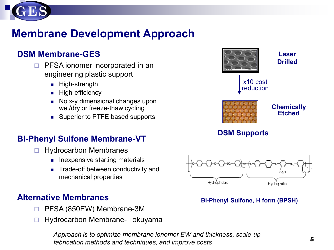

### **Membrane Development Approach**

### **DSM Membrane-GES**

- $\Box$  PFSA ionomer incorporated in an engineering plastic support
	- **High-strength**
	- **High-efficiency**
	- No x-y dimensional changes upon wet/dry or freeze-thaw cycling
	- Superior to PTFE based supports

### **Bi-Phenyl Sulfone Membrane-VT**

- $\Box$  Hydrocarbon Membranes
	- $\blacksquare$  Inexpensive starting materials
	- Trade-off between conductivity and mechanical properties

### **Alternative Membranes**

- □ PFSA (850EW) Membrane-3M
- □ Hydrocarbon Membrane- Tokuyama

*Approach is to optimize membrane ionomer EW and thickness, scale-up fabrication methods and techniques, and improve costs*





#### **Bi-Phenyl Sulfone, H form (BPSH)**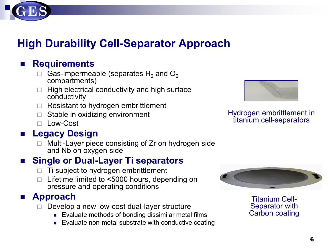# **High Durability Cell-Separator Approach**

### **Requirements**

- Gas-impermeable (separates  $H_2$  and  $O_2$  compartments)
- $\Box$  High electrical conductivity and high surface conductivity
- $\Box$  Resistant to hydrogen embrittlement
- $\Box$  Stable in oxidizing environment
- Low-Cost

### **Legacy Design**

 Multi-Layer piece consisting of Zr on hydrogen side and Nb on oxygen side

### **Single or Dual-Layer Ti separators**

- Ti subject to hydrogen embrittlement
- $\Box$  Lifetime limited to  $\leq$  5000 hours, depending on pressure and operating conditions

### **Approach**

- Develop a new low-cost dual-layer structure
	- **Evaluate methods of bonding dissimilar metal films**
	- Evaluate non-metal substrate with conductive coating



Hydrogen embrittlement in titanium cell-separators



Titanium Cell- Separator with Carbon coating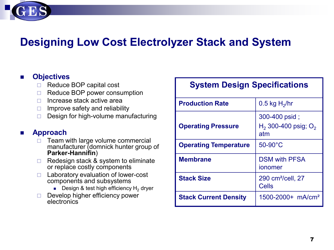### **Designing Low Cost Electrolyzer Stack and System**

#### **Objectives**

- $\Box$  Reduce BOP capital cost
- □ Reduce BOP power consumption
- $\Box$  Increase stack active area
- $\Box$  Improve safety and reliability
- $\Box$  Design for high-volume manufacturing

#### **Approach**

- $\Box$  Team with large volume commercial manufacturer (domnick hunter group of **Parker-Hannifin**)
- $\Box$  Redesign stack & system to eliminate or replace costly components
- $\Box$  Laboratory evaluation of lower-cost components and subsystems
	- **Design & test high efficiency H<sub>2</sub> dryer**
- $\Box$  Develop higher efficiency power electronics

### **System Design Specifications**

| <b>Production Rate</b>       | $0.5$ kg H <sub>2</sub> /hr                                |
|------------------------------|------------------------------------------------------------|
| <b>Operating Pressure</b>    | 300-400 psid;<br>H <sub>2</sub> 300-400 psig; $O_2$<br>atm |
| <b>Operating Temperature</b> | $50-90^{\circ}$ C                                          |
| <b>Membrane</b>              | <b>DSM with PFSA</b><br>ionomer                            |
| <b>Stack Size</b>            | 290 cm <sup>2</sup> /cell, 27<br><b>Cells</b>              |
| <b>Stack Current Density</b> | 1500-2000+ mA/cm <sup>2</sup>                              |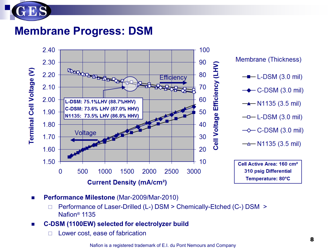

**Membrane Progress: DSM**



- **Performance Milestone** (Mar-2009/Mar-2010)
	- Performance of Laser-Drilled (L-) DSM > Chemically-Etched (C-) DSM > Nafion® 1135
- **C-DSM (1100EW) selected for electrolyzer build**
	- Lower cost, ease of fabrication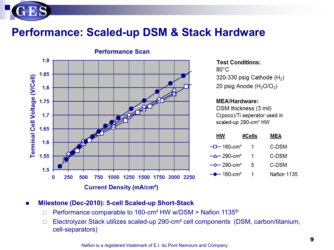

### **Performance: Scaled-up DSM & Stack Hardware**



**Test Conditions:**  $80^{\circ}$ C 320-330 psig Cathode  $(H<sub>2</sub>)$ 20 psig Anode  $(H_2O/O_2)$ 

#### **MEA/Hardware:**

DSM thickness (3 mil) C(poco)/Ti seperator used in scaled-up 290-cm<sup>2</sup> HW

| HW                            | #Cells | MEA         |
|-------------------------------|--------|-------------|
| $-D - 160$ -cm <sup>2</sup>   | - 1    | C-DSM       |
| $-\Delta$ 290-cm <sup>2</sup> | -1     | C-DSM       |
| $-$ 290-cm <sup>2</sup>       | 5      | C-DSM       |
| $-$ 160-cm <sup>2</sup>       | 1      | Nafion 1135 |

- **Milestone (Dec-2010): 5-cell Scaled-up Short-Stack** 
	- $\Box$  Performance comparable to 160-cm<sup>2</sup> HW w/DSM > Nafion 1135<sup>®</sup>
	- $\Box$  Electrolyzer Stack utilizes scaled-up 290-cm<sup>2</sup> cell components (DSM, carbon/titanium, cell-separators)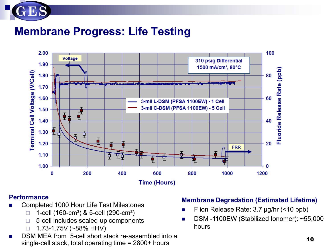

### **Membrane Progress: Life Testing**



#### **Performance**

- Completed 1000 Hour Life Test Milestones
	- $\Box$  1-cell (160-cm<sup>2</sup>) & 5-cell (290-cm<sup>2</sup>)
	- $\Box$  5-cell includes scaled-up components
	- $\Box$  1.73-1.75V (~88% HHV)
- DSM MEA from 5-cell short stack re-assembled into a single-cell stack, total operating time = 2800+ hours

#### **Membrane Degradation (Estimated Lifetime)**

- F ion Release Rate: 3.7 µg/hr (<10 ppb)
- DSM -1100EW (Stabilized Ionomer): ~55,000 hours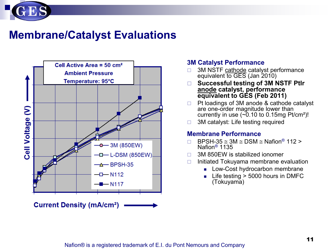

### **Membrane/Catalyst Evaluations**



#### **3M Catalyst Performance**

- □ 3M NSTF cathode catalyst performance equivalent to GES (Jan 2010)
- **Successful testing of 3M NSTF PtIr anode catalyst, performance equivalent to GES (Feb 2011)**
- $\Box$  Pt loadings of 3M anode & cathode catalyst are one-order magnitude lower than currently in use ( $\sim$ 0.10 to 0.15mg Pt/cm<sup>2</sup>)!
- □ 3M catalyst: Life testing required

#### **Membrane Performance**

- BPSH-35 ≅ 3M ≅ DSM ≅ Nafion® 112 > Nafion® 1135
- □ 3M 850EW is stabilized ionomer
- $\Box$  Initiated Tokuyama membrane evaluation
	- **Low-Cost hydrocarbon membrane**
	- Life testing > 5000 hours in DMFC (Tokuyama)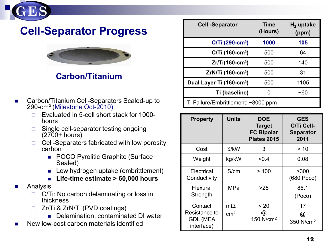

### **Cell-Separator Progress**



### **Carbon/Titanium**

- Carbon/Titanium Cell-Separators Scaled-up to 290-cm² (Milestone Oct-2010)
	- $\Box$  Evaluated in 5-cell short stack for 1000-<br>hours
	- $\Box$  Single cell-separator testing ongoing  $(2700+$  hours)
	- $\Box$  Cell-Separators fabricated with low porosity carbon
		- POCO Pyrolitic Graphite (Surface Sealed)
		- **Low hydrogen uptake (embrittlement)**
		- **Life-time estimate > 60,000 hours**
- Analysis
	- $\Box$  C/Ti: No carbon delaminating or loss in thickness
	- □ Zr/Ti & ZrN/Ti (PVD coatings)
		- Delamination, contaminated DI water
- New low-cost carbon materials identified

| <b>Cell-Separator</b>                | <b>Time</b><br>(Hours) | $H2$ uptake<br>(ppm) |
|--------------------------------------|------------------------|----------------------|
| C/Ti (290-cm <sup>2</sup> )          | 1000                   | 105                  |
| C/Ti (160-cm <sup>2</sup> )          | 500                    | 64                   |
| $Zr/Ti(160-cm2)$                     | 500                    | 140                  |
| ZrN/Ti (160-cm <sup>2</sup> )        | 500                    | 31                   |
| Dual Layer Ti (160-cm <sup>2</sup> ) | 500                    | 1105                 |
| Ti (baseline)                        |                        | ~60                  |
| Ti Failure/Embrittlement: ~8000 ppm  |                        |                      |

| <b>Property</b>                                           | <b>Units</b>                   | <b>DOE</b><br><b>Target</b><br><b>FC Bipolar</b><br><b>Plates 2015</b> | <b>GES</b><br>C/Ti Cell-<br><b>Separator</b><br>2011 |
|-----------------------------------------------------------|--------------------------------|------------------------------------------------------------------------|------------------------------------------------------|
| Cost                                                      | \$/kW                          | 3                                                                      | > 10                                                 |
| Weight                                                    | kg/kW                          | < 0.4                                                                  | 0.08                                                 |
| Electrical<br>Conductivity                                | S/cm                           | >100                                                                   | >300<br>(680 Poco)                                   |
| Flexural<br>Strength                                      | MPa                            | >25                                                                    | 86.1<br>(Poco)                                       |
| Contact<br>Resistance to<br><b>GDL (MEA</b><br>interface) | $m\Omega$ .<br>cm <sup>2</sup> | < 20<br>@<br>150 N/cm <sup>2</sup>                                     | 17<br>@<br>350 N/cm <sup>2</sup>                     |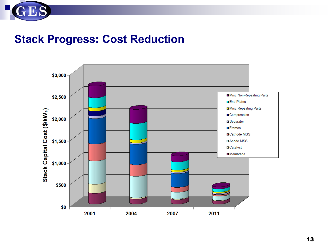

### **Stack Progress: Cost Reduction**

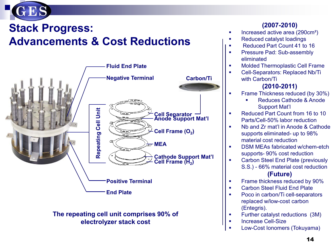

### **Stack Progress: Advancements & Cost Reductions**



#### **The repeating cell unit comprises 90% of electrolyzer stack cost**

#### **(2007-2010)**

- Increased active area (290cm²)
- Reduced catalyst loadings
- Reduced Part Count 41 to 16
- **Pressure Pad: Sub-assembly** eliminated
- **Molded Thermoplastic Cell Frame**
- **Cell-Separators: Replaced Nb/Ti** with Carbon/Ti

### **(2010-2011)**

- **Frame Thickness reduced (by 30%)** 
	- Reduces Cathode & Anode Support Mat'l
- Reduced Part Count from 16 to 10 Parts/Cell-50% labor reduction
- Nb and Zr mat'l in Anode & Cathode supports eliminated- up to 98% material cost reduction
- **EXECUTE:** DSM MEAs fabricated w/chem-etch supports- 90% cost reduction
- **EXEC** Carbon Steel End Plate (previously S.S.) - 66% material cost reduction

### **(Future)**

- **Frame thickness reduced by 90%**
- **Example 2** Carbon Steel Fluid End Plate
- Poco in carbon/Ti cell-separators replaced w/low-cost carbon (Entegris).
- **Further catalyst reductions (3M)**
- **Increase Cell-Size**
- Low-Cost Ionomers (Tokuyama)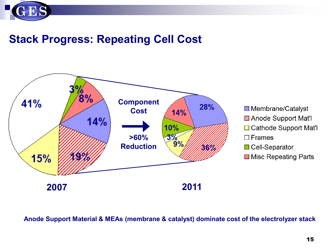

### **Stack Progress: Repeating Cell Cost**



#### **Anode Support Material & MEAs (membrane & catalyst) dominate cost of the electrolyzer stack**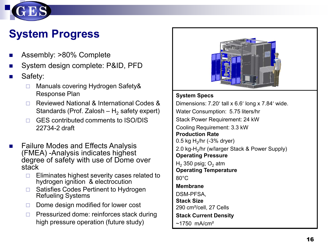

### **System Progress**

- Assembly: >80% Complete
- System design complete: P&ID, PFD
- Safety:
	- □ Manuals covering Hydrogen Safety& Response Plan
	- □ Reviewed National & International Codes & Standards (Prof. Zalosh – H<sub>2</sub> safety expert)
	- □ GES contributed comments to ISO/DIS 22734-2 draft
- Failure Modes and Effects Analysis (FMEA) -Analysis indicates highest degree of safety with use of Dome over stack
	- $\Box$  Eliminates highest severity cases related to hydrogen ignition & electrocution
	- □ Satisfies Codes Pertinent to Hydrogen Refueling Systems
	- $\Box$  Dome design modified for lower cost
	- $\Box$  Pressurized dome: reinforces stack during high pressure operation (future study)



#### **System Specs**

Dimensions: 7.20′ tall x 6.6′ long x 7.84′ wide. Water Consumption: 5.75 liters/hr Stack Power Requirement: 24 kW Cooling Requirement: 3.3 kW **Production Rate**  $0.5$  kg H<sub>2</sub>/hr (-3% dryer) 2.0 kg-H2/hr (w/larger Stack & Power Supply) **Operating Pressure** H<sub>2</sub> 350 psig;  $O<sub>2</sub>$  atm **Operating Temperature** 80°C **Membrane** DSM-PFSA, **Stack Size** 290 cm²/cell, 27 Cells **Stack Current Density**  $~1750$  mA/cm<sup>2</sup>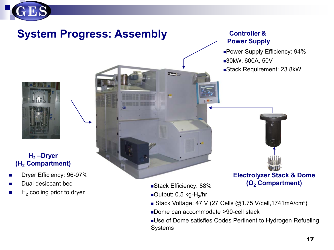

### **System Progress: Assembly**

### **Controller & Power Supply**

- **Power Supply Efficiency: 94%**
- 30kW, 600A, 50V
- Stack Requirement: 23.8kW

**Electrolyzer Stack & Dome (O2 Compartment)**



#### **H2 –Dryer (H2 Compartment)**

- Dryer Efficiency: 96-97%
- Dual desiccant bed
- $H<sub>2</sub>$  cooling prior to dryer

Stack Efficiency: 88%

Output:  $0.5$  kg-H<sub>2</sub>/hr

**Darker** 

- Stack Voltage: 47 V (27 Cells @1.75 V/cell, 1741mA/cm<sup>2</sup>)
- Dome can accommodate >90-cell stack
- Use of Dome satisfies Codes Pertinent to Hydrogen Refueling Systems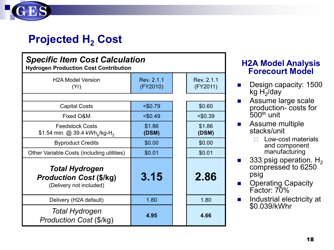

### **Projected H<sub>2</sub> Cost**

| <b>Specific Item Cost Calculation</b><br><b>Hydrogen Production Cost Contribution</b> |                        |                        |
|---------------------------------------------------------------------------------------|------------------------|------------------------|
| <b>H2A Model Version</b><br>(Yr)                                                      | Rev. 2.1.1<br>(FY2010) | Rev. 2.1.1<br>(FY2011) |
|                                                                                       |                        |                        |
| <b>Capital Costs</b>                                                                  | $<$ \$0.79             | \$0.60                 |
| Fixed O&M                                                                             | $<$ \$0.49             | $<$ \$0.39             |
| <b>Feedstock Costs</b><br>\$1.54 min. @ 39.4 kWh /kg-H <sub>2</sub>                   | \$1.86<br>(DSM)        | \$1.86<br>(DSM)        |
| <b>Byproduct Credits</b>                                                              | \$0.00                 | \$0.00                 |
| Other Variable Costs (including utilities)                                            | \$0.01                 | \$0.01                 |
| <b>Total Hydrogen</b><br><b>Production Cost (\$/kg)</b><br>(Delivery not included)    | 3.15                   | 2.86                   |
| Delivery (H2A default)                                                                | 1.80                   | 1.80                   |
| Total Hydrogen<br>Production Cost (\$/kg)                                             | 4.95                   | 4.66                   |

### **H2A Model Analysis Forecourt Model**

- Design capacity: 1500 kg  $H_2$ /day
- **Assume large scale** production- costs for 500<sup>th</sup> unit
- **Assume multiple** stacks/unit
	- $\Box$  Low-cost materials and component manufacturing
- 333 psig operation.  $H_2$ compressed to 6250 psig
- **Dearating Capacity** Factor: 70%
- $\blacksquare$  Industrial electricity at \$0.039/kWhr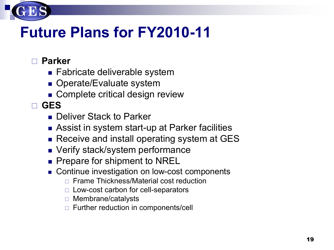

## **Future Plans for FY2010-11**

### **Parker**

- Fabricate deliverable system
- **Operate/Evaluate system**
- Complete critical design review

### **GES**

- **Deliver Stack to Parker**
- Assist in system start-up at Parker facilities
- **Receive and install operating system at GES**
- **Verify stack/system performance**
- **Prepare for shipment to NREL**
- Continue investigation on low-cost components
	- □ Frame Thickness/Material cost reduction
	- $\Box$  Low-cost carbon for cell-separators
	- $\Box$  Membrane/catalysts
	- $\Box$  Further reduction in components/cell